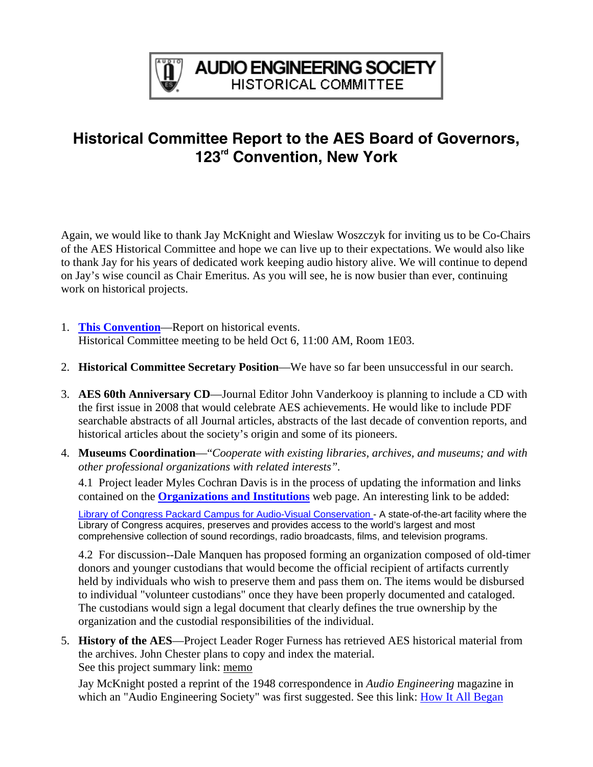

## **Historical Committee Report to the AES Board of Governors, 123rd Convention, New York**

Again, we would like to thank Jay McKnight and Wieslaw Woszczyk for inviting us to be Co-Chairs of the AES Historical Committee and hope we can live up to their expectations. We would also like to thank Jay for his years of dedicated work keeping audio history alive. We will continue to depend on Jay's wise council as Chair Emeritus. As you will see, he is now busier than ever, continuing work on historical projects.

- 1. **[This Convention](http://www.aes.org/events/123/historical/)**—Report on historical events. Historical Committee meeting to be held Oct 6, 11:00 AM, Room 1E03.
- 2. **Historical Committee Secretary Position**—We have so far been unsuccessful in our search.
- 3. **AES 60th Anniversary CD**—Journal Editor John Vanderkooy is planning to include a CD with the first issue in 2008 that would celebrate AES achievements. He would like to include PDF searchable abstracts of all Journal articles, abstracts of the last decade of convention reports, and historical articles about the society's origin and some of its pioneers.
- 4. **Museums Coordination**—"*Cooperate with existing libraries, archives, and museums; and with other professional organizations with related interests".*

4.1 Project leader Myles Cochran Davis is in the process of updating the information and links contained on the **[Organizations and Institutions](http://www.aes.org/aeshc/link.org-and-inst.html)** web page. An interesting link to be added:

[Library of Congress Packard Campus for Audio-Visual Conservation](http://www.loc.gov/avconservation/) - A state-of-the-art facility where the Library of Congress acquires, preserves and provides access to the world's largest and most comprehensive collection of sound recordings, radio broadcasts, films, and television programs.

4.2 For discussion--Dale Manquen has proposed forming an organization composed of old-timer donors and younger custodians that would become the official recipient of artifacts currently held by individuals who wish to preserve them and pass them on. The items would be disbursed to individual "volunteer custodians" once they have been properly documented and cataloged. The custodians would sign a legal document that clearly defines the true ownership by the organization and the custodial responsibilities of the individual.

5. **History of the AES**—Project Leader Roger Furness has retrieved AES historical material from the archives. John Chester plans to copy and index the material. See this project summary link: [memo](http://www.aes.org/aeshc/docs/committee.repts/history-of-the-aes-project-proposal-0609.html) 

Jay McKnight posted a reprint of the 1948 correspondence in *Audio Engineering* magazine in which an "Audio Engineering Society" was first suggested. See this link: **How It All Began**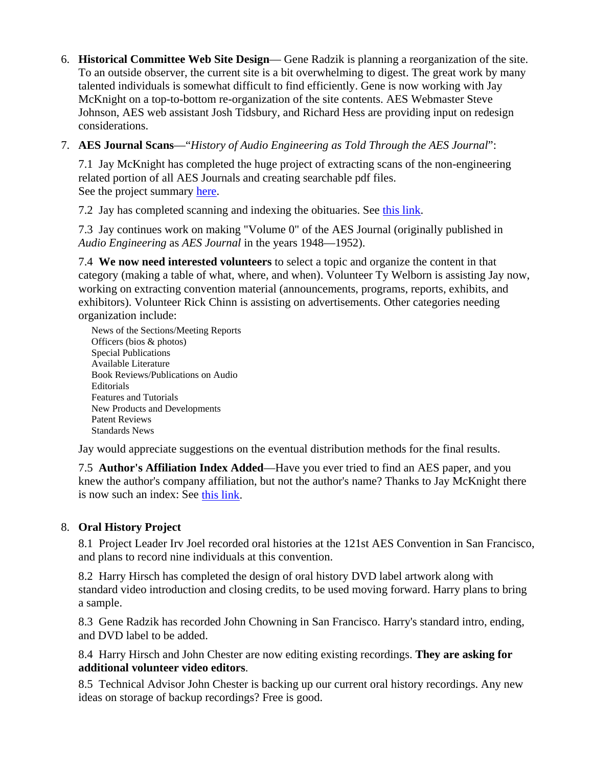6. **Historical Committee Web Site Design**— Gene Radzik is planning a reorganization of the site. To an outside observer, the current site is a bit overwhelming to digest. The great work by many talented individuals is somewhat difficult to find efficiently. Gene is now working with Jay McKnight on a top-to-bottom re-organization of the site contents. AES Webmaster Steve Johnson, AES web assistant Josh Tidsbury, and Richard Hess are providing input on redesign considerations.

## 7. **AES Journal Scans**—"*History of Audio Engineering as Told Through the AES Journal*":

7.1 Jay McKnight has completed the huge project of extracting scans of the non-engineering related portion of all AES Journals and creating searchable pdf files. See the project summary [here.](http://www.aes.org/aeshc/History-of-Audio-Engineering-as-Told-Thru-the-AES-Journal.pdf)

7.2 Jay has completed scanning and indexing the obituaries. See [this link](http://www.aes.org/aeshc/docs/jaesobit.html).

7.3 Jay continues work on making "Volume 0" of the AES Journal (originally published in *Audio Engineering* as *AES Journal* in the years 1948—1952).

7.4 **We now need interested volunteers** to select a topic and organize the content in that category (making a table of what, where, and when). Volunteer Ty Welborn is assisting Jay now, working on extracting convention material (announcements, programs, reports, exhibits, and exhibitors). Volunteer Rick Chinn is assisting on advertisements. Other categories needing organization include:

News of the Sections/Meeting Reports Officers (bios & photos) Special Publications Available Literature Book Reviews/Publications on Audio **Editorials** Features and Tutorials New Products and Developments Patent Reviews Standards News

Jay would appreciate suggestions on the eventual distribution methods for the final results.

7.5 **Author's Affiliation Index Added**—Have you ever tried to find an AES paper, and you knew the author's company affiliation, but not the author's name? Thanks to Jay McKnight there is now such an index: See [this link](http://www.aes.org/aeshc/docs/authors-affiliation-index-of-aes-pubs.html).

## 8. **Oral History Project**

8.1 Project Leader Irv Joel recorded oral histories at the 121st AES Convention in San Francisco, and plans to record nine individuals at this convention.

8.2 Harry Hirsch has completed the design of oral history DVD label artwork along with standard video introduction and closing credits, to be used moving forward. Harry plans to bring a sample.

8.3 Gene Radzik has recorded John Chowning in San Francisco. Harry's standard intro, ending, and DVD label to be added.

8.4 Harry Hirsch and John Chester are now editing existing recordings. **They are asking for additional volunteer video editors**.

8.5 Technical Advisor John Chester is backing up our current oral history recordings. Any new ideas on storage of backup recordings? Free is good.